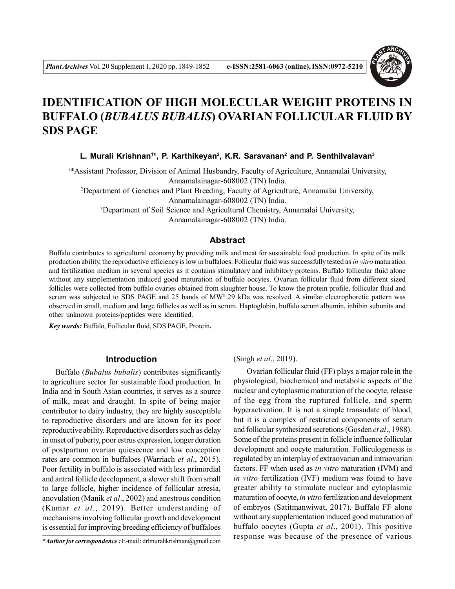

# **IDENTIFICATION OF HIGH MOLECULAR WEIGHT PROTEINS IN BUFFALO (***BUBALUS BUBALIS***) OVARIAN FOLLICULAR FLUID BY SDS PAGE**

**L. Murali Krishnan<sup>1</sup> \*, P. Karthikeyan<sup>2</sup> , K.R. Saravanan<sup>2</sup> and P. Senthilvalavan<sup>3</sup>**

<sup>1</sup>\*Assistant Professor, Division of Animal Husbandry, Faculty of Agriculture, Annamalai University, Annamalainagar-608002 (TN) India. <sup>2</sup>Department of Genetics and Plant Breeding, Faculty of Agriculture, Annamalai University, Annamalainagar-608002 (TN) India. <sup>3</sup>Department of Soil Science and Agricultural Chemistry, Annamalai University, Annamalainagar-608002 (TN) India.

#### **Abstract**

Buffalo contributes to agricultural economy by providing milk and meat for sustainable food production. In spite of its milk production ability, the reproductive efficiency is low in buffaloes. Follicular fluid was successfully tested as *in vitro* maturation and fertilization medium in several species as it contains stimulatory and inhibitory proteins. Buffalo follicular fluid alone without any supplementation induced good maturation of buffalo oocytes. Ovarian follicular fluid from different sized follicles were collected from buffalo ovaries obtained from slaughter house. To know the protein profile, follicular fluid and serum was subjected to SDS PAGE and 25 bands of MW<sup>3</sup> 29 kDa was resolved. A similar electrophoretic pattern was observed in small, medium and large follicles as well as in serum. Haptoglobin, buffalo serum albumin, inhibin subunits and other unknown proteins/peptides were identified.

*Key words:* Buffalo, Follicular fluid, SDS PAGE, Protein**.**

# **Introduction**

Buffalo (*Bubalus bubalis*) contributes significantly to agriculture sector for sustainable food production. In India and in South Asian countries, it serves as a source of milk, meat and draught. In spite of being major contributor to dairy industry, they are highly susceptible to reproductive disorders and are known for its poor reproductive ability. Reproductive disorders such as delay in onset of puberty, poor estrus expression, longer duration of postpartum ovarian quiescence and low conception rates are common in buffaloes (Warriach *et al*., 2015). Poor fertility in buffalo is associated with less primordial and antral follicle development, a slower shift from small to large follicle, higher incidence of follicular atresia, anovulation (Manik *et al*., 2002) and anestrous condition (Kumar *et al*., 2019). Better understanding of mechanisms involving follicular growth and development is essential for improving breeding efficiency of buffaloes

(Singh *et al*., 2019).

Ovarian follicular fluid (FF) plays a major role in the physiological, biochemical and metabolic aspects of the nuclear and cytoplasmic maturation of the oocyte, release of the egg from the ruptured follicle, and sperm hyperactivation. It is not a simple transudate of blood, but it is a complex of restricted components of serum and follicular synthesized secretions (Gosden *et al*., 1988). Some of the proteins present in follicle influence follicular development and oocyte maturation. Folliculogenesis is regulated by an interplay of extraovarian and intraovarian factors. FF when used as *in vitro* maturation (IVM) and *in vitro* fertilization (IVF) medium was found to have greater ability to stimulate nuclear and cytoplasmic maturation of oocyte, *in vitro* fertilization and development of embryos (Satitmanwiwat, 2017). Buffalo FF alone without any supplementation induced good maturation of buffalo oocytes (Gupta *et al*., 2001). This positive response was because of the presence of various

*<sup>\*</sup>Author for correspondence :* E-mail : drlmuralikrishnan@gmail.com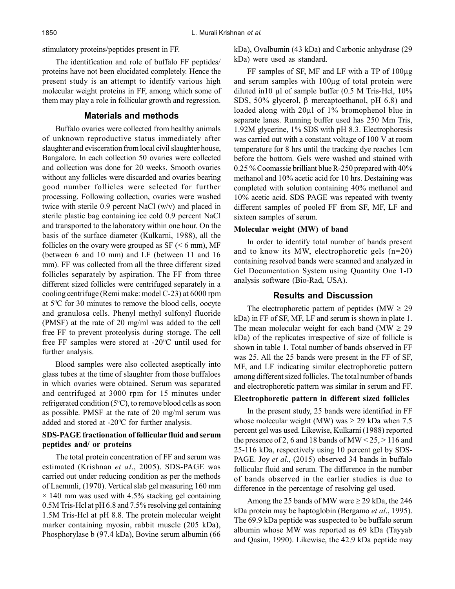stimulatory proteins/peptides present in FF.

The identification and role of buffalo FF peptides/ proteins have not been elucidated completely. Hence the present study is an attempt to identify various high molecular weight proteins in FF, among which some of them may play a role in follicular growth and regression.

# **Materials and methods**

Buffalo ovaries were collected from healthy animals of unknown reproductive status immediately after slaughter and evisceration from local civil slaughter house, Bangalore. In each collection 50 ovaries were collected and collection was done for 20 weeks. Smooth ovaries without any follicles were discarded and ovaries bearing good number follicles were selected for further processing. Following collection, ovaries were washed twice with sterile 0.9 percent NaCl (w/v) and placed in sterile plastic bag containing ice cold 0.9 percent NaCl and transported to the laboratory within one hour. On the basis of the surface diameter (Kulkarni, 1988), all the follicles on the ovary were grouped as  $SF \leq 6$  mm), MF (between 6 and 10 mm) and LF (between 11 and 16 mm). FF was collected from all the three different sized follicles separately by aspiration. The FF from three different sized follicles were centrifuged separately in a cooling centrifuge (Remi make: model C-23) at 6000 rpm at  $5^{\circ}$ C for 30 minutes to remove the blood cells, oocyte and granulosa cells. Phenyl methyl sulfonyl fluoride (PMSF) at the rate of 20 mg/ml was added to the cell free FF to prevent proteolysis during storage. The cell free FF samples were stored at -20<sup>0</sup>C until used for further analysis.

Blood samples were also collected aseptically into glass tubes at the time of slaughter from those buffaloes in which ovaries were obtained. Serum was separated and centrifuged at 3000 rpm for 15 minutes under refrigerated condition  $(5^{\circ}C)$ , to remove blood cells as soon as possible. PMSF at the rate of 20 mg/ml serum was added and stored at -20°C for further analysis.

# **SDS-PAGE fractionation of follicular fluid and serum peptides and/ or proteins**

The total protein concentration of FF and serum was estimated (Krishnan *et al*., 2005). SDS-PAGE was carried out under reducing condition as per the methods of Laemmli, (1970). Vertical slab gel measuring 160 mm  $\times$  140 mm was used with 4.5% stacking gel containing 0.5M Tris-Hcl at pH 6.8 and 7.5% resolving gel containing 1.5M Tris-Hcl at pH 8.8. The protein molecular weight marker containing myosin, rabbit muscle (205 kDa), Phosphorylase b (97.4 kDa), Bovine serum albumin (66 kDa), Ovalbumin (43 kDa) and Carbonic anhydrase (29 kDa) were used as standard.

FF samples of SF, MF and LF with a TP of 100µg and serum samples with 100µg of total protein were diluted in10  $\mu$ l of sample buffer (0.5 M Tris-Hcl, 10%) SDS,  $50\%$  glycerol,  $\beta$  mercaptoethanol, pH 6.8) and loaded along with 20µl of 1% bromophenol blue in separate lanes. Running buffer used has 250 Mm Tris, 1.92M glycerine, 1% SDS with pH 8.3. Electrophoresis was carried out with a constant voltage of 100 V at room temperature for 8 hrs until the tracking dye reaches 1cm before the bottom. Gels were washed and stained with 0.25 % Coomassie brilliant blue R-250 prepared with 40% methanol and 10% acetic acid for 10 hrs. Destaining was completed with solution containing 40% methanol and 10% acetic acid. SDS PAGE was repeated with twenty different samples of pooled FF from SF, MF, LF and sixteen samples of serum.

#### **Molecular weight (MW) of band**

In order to identify total number of bands present and to know its MW, electrophoretic gels (n=20) containing resolved bands were scanned and analyzed in Gel Documentation System using Quantity One 1-D analysis software (Bio-Rad, USA).

# **Results and Discussion**

The electrophoretic pattern of peptides (MW  $\geq$  29 kDa) in FF of SF, MF, LF and serum is shown in plate 1. The mean molecular weight for each band (MW  $\geq$  29 kDa) of the replicates irrespective of size of follicle is shown in table 1. Total number of bands observed in FF was 25. All the 25 bands were present in the FF of SF, MF, and LF indicating similar electrophoretic pattern among different sized follicles. The total number of bands and electrophoretic pattern was similar in serum and FF.

#### **Electrophoretic pattern in different sized follicles**

In the present study, 25 bands were identified in FF whose molecular weight (MW) was  $\geq$  29 kDa when 7.5 percent gel was used. Likewise, Kulkarni (1988) reported the presence of 2, 6 and 18 bands of MW <  $25$ ,  $>$  116 and 25-116 kDa, respectively using 10 percent gel by SDS-PAGE. Joy *et al.,* (2015) observed 34 bands in buffalo follicular fluid and serum. The difference in the number of bands observed in the earlier studies is due to difference in the percentage of resolving gel used.

Among the 25 bands of MW were  $\geq$  29 kDa, the 246 kDa protein may be haptoglobin (Bergamo *et al*., 1995). The 69.9 kDa peptide was suspected to be buffalo serum albumin whose MW was reported as 69 kDa (Tayyab and Qasim, 1990). Likewise, the 42.9 kDa peptide may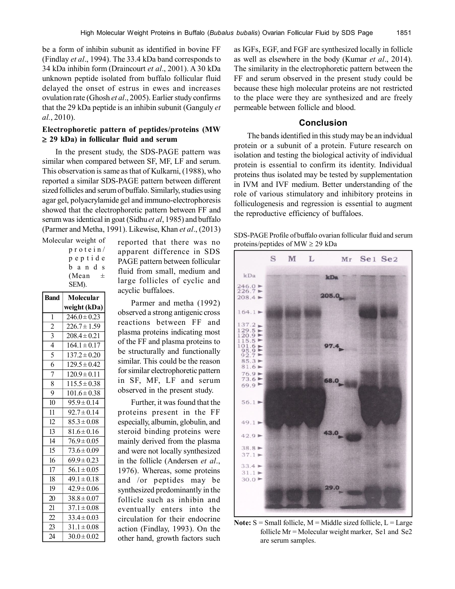be a form of inhibin subunit as identified in bovine FF (Findlay *et al*., 1994). The 33.4 kDa band corresponds to 34 kDa inhibin form (Draincourt *et al*., 2001). A 30 kDa unknown peptide isolated from buffalo follicular fluid delayed the onset of estrus in ewes and increases ovulation rate (Ghosh *et al*., 2005). Earlier study confirms that the 29 kDa peptide is an inhibin subunit (Ganguly *et al.*, 2010).

# **Electrophoretic pattern of peptides/proteins (MW 29 kDa) in follicular fluid and serum**

In the present study, the SDS-PAGE pattern was similar when compared between SF, MF, LF and serum. This observation is same as that of Kulkarni, (1988), who reported a similar SDS-PAGE pattern between different sized follicles and serum of buffalo. Similarly, studies using agar gel, polyacrylamide gel and immuno-electrophoresis showed that the electrophoretic pattern between FF and serum was identical in goat (Sidhu *et al*, 1985) and buffalo (Parmer and Metha, 1991). Likewise, Khan *et al*., (2013)

Molecular weight of p r o t e i n / p e p t i d e b a n d s (Mean  $\pm$ SEM).

| <b>Band</b>               | Molecular        |
|---------------------------|------------------|
|                           | weight (kDa)     |
| 1                         | $246.0 \pm 0.23$ |
| $\overline{2}$            | $226.7 \pm 1.59$ |
| $\overline{\overline{3}}$ | $208.4 \pm 0.21$ |
| $\overline{4}$            | $164.1 \pm 0.17$ |
| 5                         | $137.2 \pm 0.20$ |
| $\overline{6}$            | $129.5 \pm 0.42$ |
| $\overline{7}$            | $120.9 \pm 0.11$ |
| 8                         | $115.5 \pm 0.38$ |
| 9                         | $101.6 \pm 0.38$ |
| 10                        | $95.9 \pm 0.14$  |
| 11                        | $92.7 \pm 0.14$  |
| 12                        | $85.3 \pm 0.08$  |
| 13                        | $81.6 \pm 0.16$  |
| 14                        | $76.9 \pm 0.05$  |
| 15                        | $73.6 \pm 0.09$  |
| 16                        | $69.9 \pm 0.23$  |
| 17                        | $56.1 \pm 0.05$  |
| 18                        | $49.1 \pm 0.18$  |
| 19                        | $42.9 \pm 0.06$  |
| 20                        | $38.8 \pm 0.07$  |
| 21                        | $37.1 \pm 0.08$  |
| 22                        | $33.4 \pm 0.03$  |
| 23                        | $31.1 \pm 0.08$  |
| 24                        | $30.0 \pm 0.02$  |

reported that there was no apparent difference in SDS PAGE pattern between follicular fluid from small, medium and large follicles of cyclic and acyclic buffaloes.

Parmer and metha (1992) observed a strong antigenic cross reactions between FF and plasma proteins indicating most of the FF and plasma proteins to be structurally and functionally similar. This could be the reason for similar electrophoretic pattern in SF, MF, LF and serum observed in the present study.

Further, it was found that the proteins present in the FF especially, albumin, globulin, and steroid binding proteins were mainly derived from the plasma and were not locally synthesized in the follicle (Andersen *et al*., 1976). Whereas, some proteins and /or peptides may be synthesized predominantly in the follicle such as inhibin and eventually enters into the circulation for their endocrine action (Findlay, 1993). On the other hand, growth factors such as IGFs, EGF, and FGF are synthesized locally in follicle as well as elsewhere in the body (Kumar *et al*., 2014). The similarity in the electrophoretic pattern between the FF and serum observed in the present study could be because these high molecular proteins are not restricted to the place were they are synthesized and are freely permeable between follicle and blood.

# **Conclusion**

The bands identified in this study may be an indvidual protein or a subunit of a protein. Future research on isolation and testing the biological activity of individual protein is essential to confirm its identity. Individual proteins thus isolated may be tested by supplementation in IVM and IVF medium. Better understanding of the role of various stimulatory and inhibitory proteins in folliculogenesis and regression is essential to augment the reproductive efficiency of buffaloes.

SDS-PAGE Profile of buffalo ovarian follicular fluid and serum proteins/peptides of  $MW \geq 29$  kDa



**Note:**  $S = Small$  follicle,  $M = Middle$  sized follicle,  $L = Large$ follicle Mr = Molecular weight marker, Se1 and Se2 are serum samples.